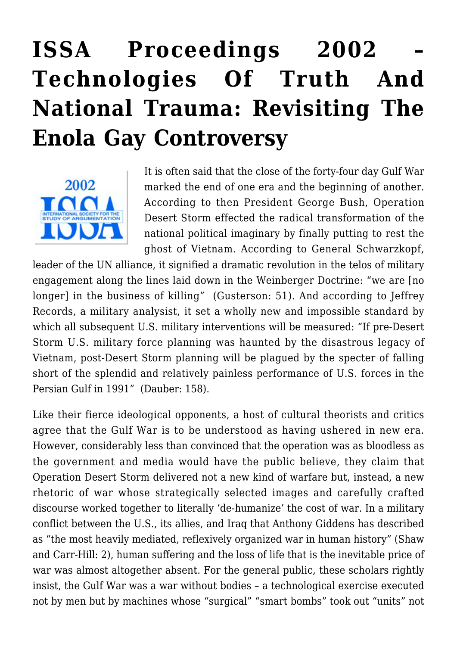## **[ISSA Proceedings 2002 –](https://rozenbergquarterly.com/issa-proceedings-2002-technologies-of-truth-and-national-trauma-revisiting-the-enola-gay-controversy/) [Technologies Of Truth And](https://rozenbergquarterly.com/issa-proceedings-2002-technologies-of-truth-and-national-trauma-revisiting-the-enola-gay-controversy/) [National Trauma: Revisiting The](https://rozenbergquarterly.com/issa-proceedings-2002-technologies-of-truth-and-national-trauma-revisiting-the-enola-gay-controversy/) [Enola Gay Controversy](https://rozenbergquarterly.com/issa-proceedings-2002-technologies-of-truth-and-national-trauma-revisiting-the-enola-gay-controversy/)**



It is often said that the close of the forty-four day Gulf War marked the end of one era and the beginning of another. According to then President George Bush, Operation Desert Storm effected the radical transformation of the national political imaginary by finally putting to rest the ghost of Vietnam. According to General Schwarzkopf,

leader of the UN alliance, it signified a dramatic revolution in the telos of military engagement along the lines laid down in the Weinberger Doctrine: "we are [no longer] in the business of killing" (Gusterson: 51). And according to Jeffrey Records, a military analysist, it set a wholly new and impossible standard by which all subsequent U.S. military interventions will be measured: "If pre-Desert Storm U.S. military force planning was haunted by the disastrous legacy of Vietnam, post-Desert Storm planning will be plagued by the specter of falling short of the splendid and relatively painless performance of U.S. forces in the Persian Gulf in 1991" (Dauber: 158).

Like their fierce ideological opponents, a host of cultural theorists and critics agree that the Gulf War is to be understood as having ushered in new era. However, considerably less than convinced that the operation was as bloodless as the government and media would have the public believe, they claim that Operation Desert Storm delivered not a new kind of warfare but, instead, a new rhetoric of war whose strategically selected images and carefully crafted discourse worked together to literally 'de-humanize' the cost of war. In a military conflict between the U.S., its allies, and Iraq that Anthony Giddens has described as "the most heavily mediated, reflexively organized war in human history" (Shaw and Carr-Hill: 2), human suffering and the loss of life that is the inevitable price of war was almost altogether absent. For the general public, these scholars rightly insist, the Gulf War was a war without bodies – a technological exercise executed not by men but by machines whose "surgical" "smart bombs" took out "units" not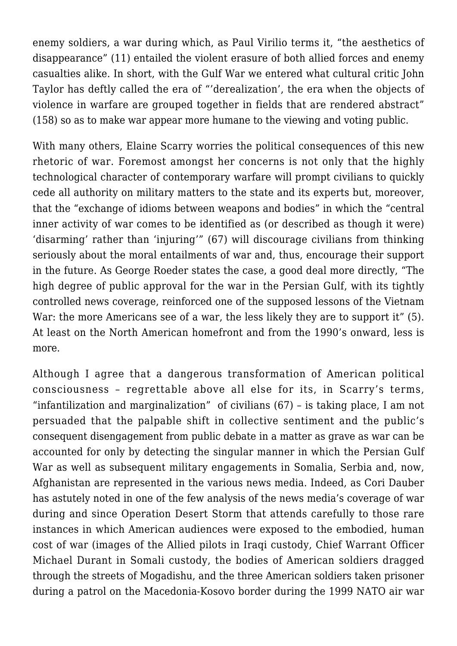enemy soldiers, a war during which, as Paul Virilio terms it, "the aesthetics of disappearance" (11) entailed the violent erasure of both allied forces and enemy casualties alike. In short, with the Gulf War we entered what cultural critic John Taylor has deftly called the era of "'derealization', the era when the objects of violence in warfare are grouped together in fields that are rendered abstract" (158) so as to make war appear more humane to the viewing and voting public.

With many others, Elaine Scarry worries the political consequences of this new rhetoric of war. Foremost amongst her concerns is not only that the highly technological character of contemporary warfare will prompt civilians to quickly cede all authority on military matters to the state and its experts but, moreover, that the "exchange of idioms between weapons and bodies" in which the "central inner activity of war comes to be identified as (or described as though it were) 'disarming' rather than 'injuring'" (67) will discourage civilians from thinking seriously about the moral entailments of war and, thus, encourage their support in the future. As George Roeder states the case, a good deal more directly, "The high degree of public approval for the war in the Persian Gulf, with its tightly controlled news coverage, reinforced one of the supposed lessons of the Vietnam War: the more Americans see of a war, the less likely they are to support it" (5). At least on the North American homefront and from the 1990's onward, less is more.

Although I agree that a dangerous transformation of American political consciousness – regrettable above all else for its, in Scarry's terms, "infantilization and marginalization" of civilians (67) – is taking place, I am not persuaded that the palpable shift in collective sentiment and the public's consequent disengagement from public debate in a matter as grave as war can be accounted for only by detecting the singular manner in which the Persian Gulf War as well as subsequent military engagements in Somalia, Serbia and, now, Afghanistan are represented in the various news media. Indeed, as Cori Dauber has astutely noted in one of the few analysis of the news media's coverage of war during and since Operation Desert Storm that attends carefully to those rare instances in which American audiences were exposed to the embodied, human cost of war (images of the Allied pilots in Iraqi custody, Chief Warrant Officer Michael Durant in Somali custody, the bodies of American soldiers dragged through the streets of Mogadishu, and the three American soldiers taken prisoner during a patrol on the Macedonia-Kosovo border during the 1999 NATO air war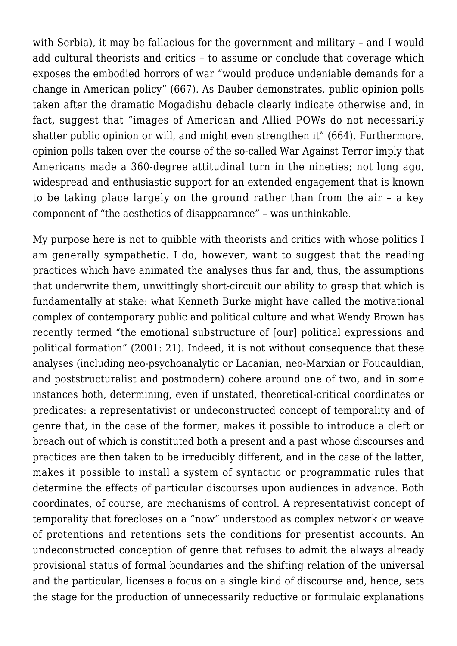with Serbia), it may be fallacious for the government and military – and I would add cultural theorists and critics – to assume or conclude that coverage which exposes the embodied horrors of war "would produce undeniable demands for a change in American policy" (667). As Dauber demonstrates, public opinion polls taken after the dramatic Mogadishu debacle clearly indicate otherwise and, in fact, suggest that "images of American and Allied POWs do not necessarily shatter public opinion or will, and might even strengthen it" (664). Furthermore, opinion polls taken over the course of the so-called War Against Terror imply that Americans made a 360-degree attitudinal turn in the nineties; not long ago, widespread and enthusiastic support for an extended engagement that is known to be taking place largely on the ground rather than from the air – a key component of "the aesthetics of disappearance" – was unthinkable.

My purpose here is not to quibble with theorists and critics with whose politics I am generally sympathetic. I do, however, want to suggest that the reading practices which have animated the analyses thus far and, thus, the assumptions that underwrite them, unwittingly short-circuit our ability to grasp that which is fundamentally at stake: what Kenneth Burke might have called the motivational complex of contemporary public and political culture and what Wendy Brown has recently termed "the emotional substructure of [our] political expressions and political formation" (2001: 21). Indeed, it is not without consequence that these analyses (including neo-psychoanalytic or Lacanian, neo-Marxian or Foucauldian, and poststructuralist and postmodern) cohere around one of two, and in some instances both, determining, even if unstated, theoretical-critical coordinates or predicates: a representativist or undeconstructed concept of temporality and of genre that, in the case of the former, makes it possible to introduce a cleft or breach out of which is constituted both a present and a past whose discourses and practices are then taken to be irreducibly different, and in the case of the latter, makes it possible to install a system of syntactic or programmatic rules that determine the effects of particular discourses upon audiences in advance. Both coordinates, of course, are mechanisms of control. A representativist concept of temporality that forecloses on a "now" understood as complex network or weave of protentions and retentions sets the conditions for presentist accounts. An undeconstructed conception of genre that refuses to admit the always already provisional status of formal boundaries and the shifting relation of the universal and the particular, licenses a focus on a single kind of discourse and, hence, sets the stage for the production of unnecessarily reductive or formulaic explanations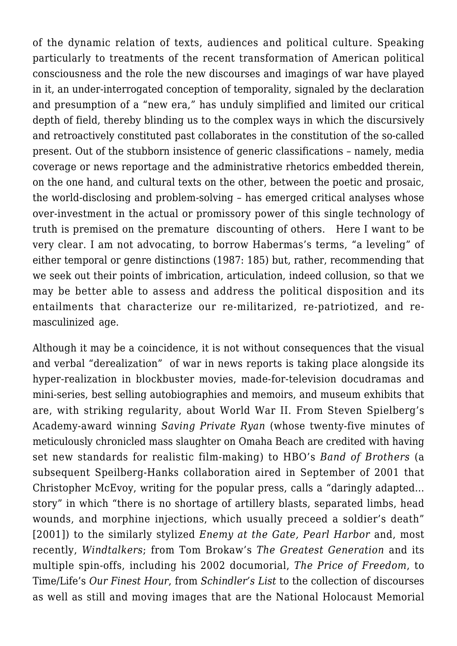of the dynamic relation of texts, audiences and political culture. Speaking particularly to treatments of the recent transformation of American political consciousness and the role the new discourses and imagings of war have played in it, an under-interrogated conception of temporality, signaled by the declaration and presumption of a "new era," has unduly simplified and limited our critical depth of field, thereby blinding us to the complex ways in which the discursively and retroactively constituted past collaborates in the constitution of the so-called present. Out of the stubborn insistence of generic classifications – namely, media coverage or news reportage and the administrative rhetorics embedded therein, on the one hand, and cultural texts on the other, between the poetic and prosaic, the world-disclosing and problem-solving – has emerged critical analyses whose over-investment in the actual or promissory power of this single technology of truth is premised on the premature discounting of others. Here I want to be very clear. I am not advocating, to borrow Habermas's terms, "a leveling" of either temporal or genre distinctions (1987: 185) but, rather, recommending that we seek out their points of imbrication, articulation, indeed collusion, so that we may be better able to assess and address the political disposition and its entailments that characterize our re-militarized, re-patriotized, and remasculinized age.

Although it may be a coincidence, it is not without consequences that the visual and verbal "derealization" of war in news reports is taking place alongside its hyper-realization in blockbuster movies, made-for-television docudramas and mini-series, best selling autobiographies and memoirs, and museum exhibits that are, with striking regularity, about World War II. From Steven Spielberg's Academy-award winning *Saving Private Ryan* (whose twenty-five minutes of meticulously chronicled mass slaughter on Omaha Beach are credited with having set new standards for realistic film-making) to HBO's *Band of Brothers* (a subsequent Speilberg-Hanks collaboration aired in September of 2001 that Christopher McEvoy, writing for the popular press, calls a "daringly adapted… story" in which "there is no shortage of artillery blasts, separated limbs, head wounds, and morphine injections, which usually preceed a soldier's death" [2001]) to the similarly stylized *Enemy at the Gate, Pearl Harbor* and, most recently, *Windtalkers*; from Tom Brokaw's *The Greatest Generation* and its multiple spin-offs, including his 2002 documorial, *The Price of Freedom*, to Time/Life's *Our Finest Hour*, from *Schindler's List* to the collection of discourses as well as still and moving images that are the National Holocaust Memorial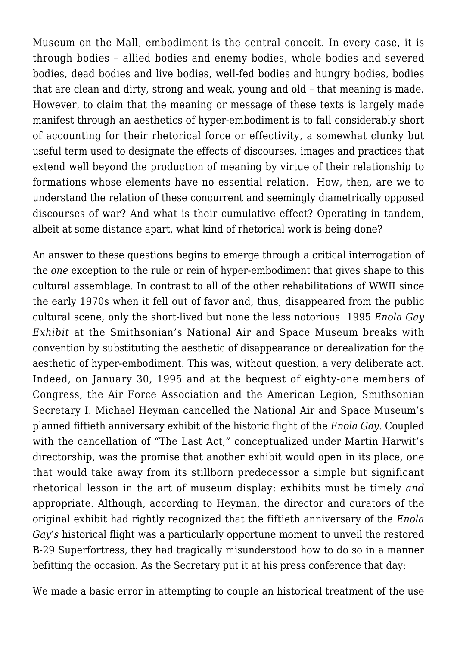Museum on the Mall, embodiment is the central conceit. In every case, it is through bodies – allied bodies and enemy bodies, whole bodies and severed bodies, dead bodies and live bodies, well-fed bodies and hungry bodies, bodies that are clean and dirty, strong and weak, young and old – that meaning is made. However, to claim that the meaning or message of these texts is largely made manifest through an aesthetics of hyper-embodiment is to fall considerably short of accounting for their rhetorical force or effectivity, a somewhat clunky but useful term used to designate the effects of discourses, images and practices that extend well beyond the production of meaning by virtue of their relationship to formations whose elements have no essential relation. How, then, are we to understand the relation of these concurrent and seemingly diametrically opposed discourses of war? And what is their cumulative effect? Operating in tandem, albeit at some distance apart, what kind of rhetorical work is being done?

An answer to these questions begins to emerge through a critical interrogation of the *one* exception to the rule or rein of hyper-embodiment that gives shape to this cultural assemblage. In contrast to all of the other rehabilitations of WWII since the early 1970s when it fell out of favor and, thus, disappeared from the public cultural scene, only the short-lived but none the less notorious 1995 *Enola Gay Exhibit* at the Smithsonian's National Air and Space Museum breaks with convention by substituting the aesthetic of disappearance or derealization for the aesthetic of hyper-embodiment. This was, without question, a very deliberate act. Indeed, on January 30, 1995 and at the bequest of eighty-one members of Congress, the Air Force Association and the American Legion, Smithsonian Secretary I. Michael Heyman cancelled the National Air and Space Museum's planned fiftieth anniversary exhibit of the historic flight of the *Enola Gay*. Coupled with the cancellation of "The Last Act," conceptualized under Martin Harwit's directorship, was the promise that another exhibit would open in its place, one that would take away from its stillborn predecessor a simple but significant rhetorical lesson in the art of museum display: exhibits must be timely *and* appropriate. Although, according to Heyman, the director and curators of the original exhibit had rightly recognized that the fiftieth anniversary of the *Enola Gay's* historical flight was a particularly opportune moment to unveil the restored B-29 Superfortress, they had tragically misunderstood how to do so in a manner befitting the occasion. As the Secretary put it at his press conference that day:

We made a basic error in attempting to couple an historical treatment of the use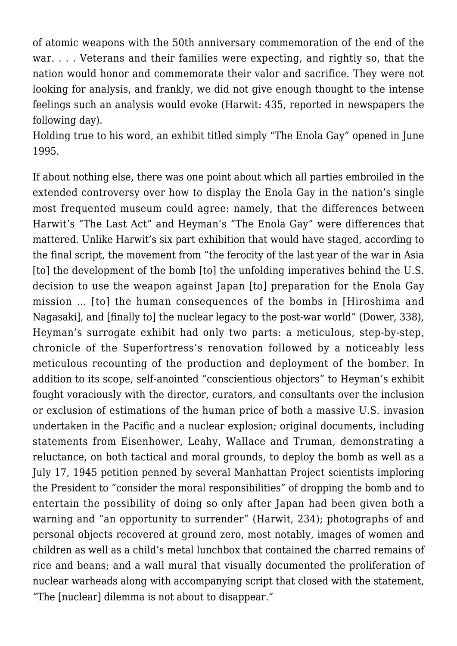of atomic weapons with the 50th anniversary commemoration of the end of the war. . . . Veterans and their families were expecting, and rightly so, that the nation would honor and commemorate their valor and sacrifice. They were not looking for analysis, and frankly, we did not give enough thought to the intense feelings such an analysis would evoke (Harwit: 435, reported in newspapers the following day).

Holding true to his word, an exhibit titled simply "The Enola Gay" opened in June 1995.

If about nothing else, there was one point about which all parties embroiled in the extended controversy over how to display the Enola Gay in the nation's single most frequented museum could agree: namely, that the differences between Harwit's "The Last Act" and Heyman's "The Enola Gay" were differences that mattered. Unlike Harwit's six part exhibition that would have staged, according to the final script, the movement from "the ferocity of the last year of the war in Asia [to] the development of the bomb [to] the unfolding imperatives behind the U.S. decision to use the weapon against Japan [to] preparation for the Enola Gay mission … [to] the human consequences of the bombs in [Hiroshima and Nagasaki], and [finally to] the nuclear legacy to the post-war world" (Dower, 338), Heyman's surrogate exhibit had only two parts: a meticulous, step-by-step, chronicle of the Superfortress's renovation followed by a noticeably less meticulous recounting of the production and deployment of the bomber. In addition to its scope, self-anointed "conscientious objectors" to Heyman's exhibit fought voraciously with the director, curators, and consultants over the inclusion or exclusion of estimations of the human price of both a massive U.S. invasion undertaken in the Pacific and a nuclear explosion; original documents, including statements from Eisenhower, Leahy, Wallace and Truman, demonstrating a reluctance, on both tactical and moral grounds, to deploy the bomb as well as a July 17, 1945 petition penned by several Manhattan Project scientists imploring the President to "consider the moral responsibilities" of dropping the bomb and to entertain the possibility of doing so only after Japan had been given both a warning and "an opportunity to surrender" (Harwit, 234); photographs of and personal objects recovered at ground zero, most notably, images of women and children as well as a child's metal lunchbox that contained the charred remains of rice and beans; and a wall mural that visually documented the proliferation of nuclear warheads along with accompanying script that closed with the statement, "The [nuclear] dilemma is not about to disappear."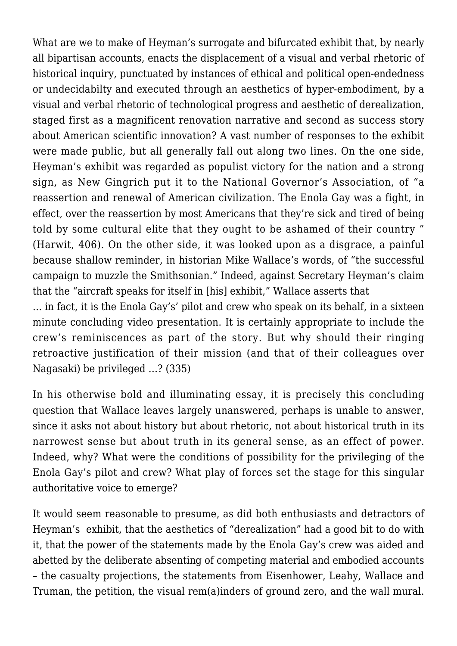What are we to make of Heyman's surrogate and bifurcated exhibit that, by nearly all bipartisan accounts, enacts the displacement of a visual and verbal rhetoric of historical inquiry, punctuated by instances of ethical and political open-endedness or undecidabilty and executed through an aesthetics of hyper-embodiment, by a visual and verbal rhetoric of technological progress and aesthetic of derealization, staged first as a magnificent renovation narrative and second as success story about American scientific innovation? A vast number of responses to the exhibit were made public, but all generally fall out along two lines. On the one side, Heyman's exhibit was regarded as populist victory for the nation and a strong sign, as New Gingrich put it to the National Governor's Association, of "a reassertion and renewal of American civilization. The Enola Gay was a fight, in effect, over the reassertion by most Americans that they're sick and tired of being told by some cultural elite that they ought to be ashamed of their country " (Harwit, 406). On the other side, it was looked upon as a disgrace, a painful because shallow reminder, in historian Mike Wallace's words, of "the successful campaign to muzzle the Smithsonian." Indeed, against Secretary Heyman's claim that the "aircraft speaks for itself in [his] exhibit," Wallace asserts that

… in fact, it is the Enola Gay's' pilot and crew who speak on its behalf, in a sixteen minute concluding video presentation. It is certainly appropriate to include the crew's reminiscences as part of the story. But why should their ringing retroactive justification of their mission (and that of their colleagues over Nagasaki) be privileged …? (335)

In his otherwise bold and illuminating essay, it is precisely this concluding question that Wallace leaves largely unanswered, perhaps is unable to answer, since it asks not about history but about rhetoric, not about historical truth in its narrowest sense but about truth in its general sense, as an effect of power. Indeed, why? What were the conditions of possibility for the privileging of the Enola Gay's pilot and crew? What play of forces set the stage for this singular authoritative voice to emerge?

It would seem reasonable to presume, as did both enthusiasts and detractors of Heyman's exhibit, that the aesthetics of "derealization" had a good bit to do with it, that the power of the statements made by the Enola Gay's crew was aided and abetted by the deliberate absenting of competing material and embodied accounts – the casualty projections, the statements from Eisenhower, Leahy, Wallace and Truman, the petition, the visual rem(a)inders of ground zero, and the wall mural.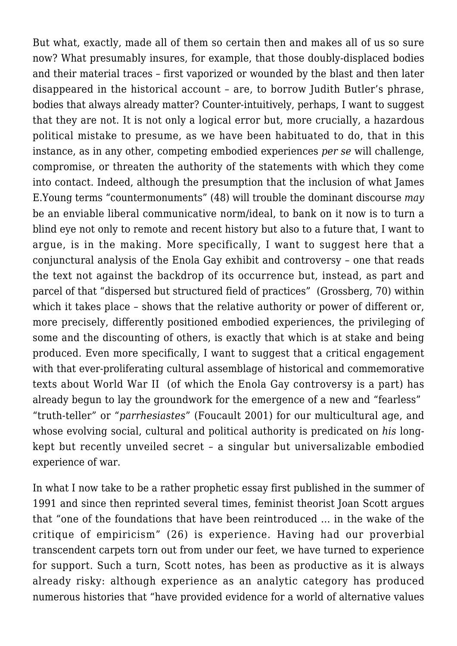But what, exactly, made all of them so certain then and makes all of us so sure now? What presumably insures, for example, that those doubly-displaced bodies and their material traces – first vaporized or wounded by the blast and then later disappeared in the historical account – are, to borrow Judith Butler's phrase, bodies that always already matter? Counter-intuitively, perhaps, I want to suggest that they are not. It is not only a logical error but, more crucially, a hazardous political mistake to presume, as we have been habituated to do, that in this instance, as in any other, competing embodied experiences *per se* will challenge, compromise, or threaten the authority of the statements with which they come into contact. Indeed, although the presumption that the inclusion of what James E.Young terms "countermonuments" (48) will trouble the dominant discourse *may* be an enviable liberal communicative norm/ideal, to bank on it now is to turn a blind eye not only to remote and recent history but also to a future that, I want to argue, is in the making. More specifically, I want to suggest here that a conjunctural analysis of the Enola Gay exhibit and controversy – one that reads the text not against the backdrop of its occurrence but, instead, as part and parcel of that "dispersed but structured field of practices" (Grossberg, 70) within which it takes place – shows that the relative authority or power of different or, more precisely, differently positioned embodied experiences, the privileging of some and the discounting of others, is exactly that which is at stake and being produced. Even more specifically, I want to suggest that a critical engagement with that ever-proliferating cultural assemblage of historical and commemorative texts about World War II (of which the Enola Gay controversy is a part) has already begun to lay the groundwork for the emergence of a new and "fearless" "truth-teller" or "*parrhesiastes*" (Foucault 2001) for our multicultural age, and whose evolving social, cultural and political authority is predicated on *his* longkept but recently unveiled secret – a singular but universalizable embodied experience of war.

In what I now take to be a rather prophetic essay first published in the summer of 1991 and since then reprinted several times, feminist theorist Joan Scott argues that "one of the foundations that have been reintroduced … in the wake of the critique of empiricism" (26) is experience. Having had our proverbial transcendent carpets torn out from under our feet, we have turned to experience for support. Such a turn, Scott notes, has been as productive as it is always already risky: although experience as an analytic category has produced numerous histories that "have provided evidence for a world of alternative values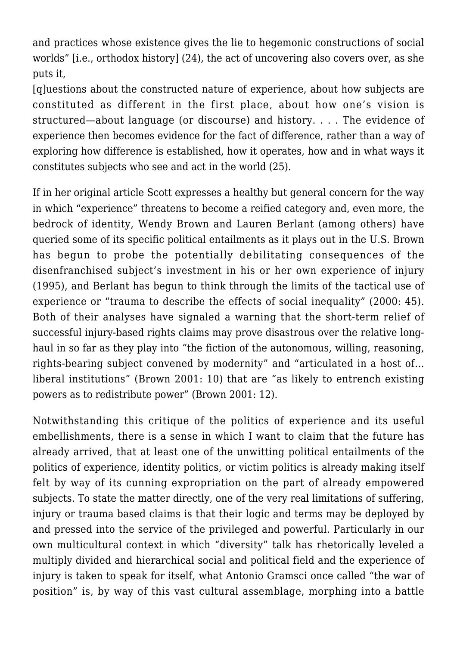and practices whose existence gives the lie to hegemonic constructions of social worlds" [i.e., orthodox history] (24), the act of uncovering also covers over, as she puts it,

[q]uestions about the constructed nature of experience, about how subjects are constituted as different in the first place, about how one's vision is structured—about language (or discourse) and history. . . . The evidence of experience then becomes evidence for the fact of difference, rather than a way of exploring how difference is established, how it operates, how and in what ways it constitutes subjects who see and act in the world (25).

If in her original article Scott expresses a healthy but general concern for the way in which "experience" threatens to become a reified category and, even more, the bedrock of identity, Wendy Brown and Lauren Berlant (among others) have queried some of its specific political entailments as it plays out in the U.S. Brown has begun to probe the potentially debilitating consequences of the disenfranchised subject's investment in his or her own experience of injury (1995), and Berlant has begun to think through the limits of the tactical use of experience or "trauma to describe the effects of social inequality" (2000: 45). Both of their analyses have signaled a warning that the short-term relief of successful injury-based rights claims may prove disastrous over the relative longhaul in so far as they play into "the fiction of the autonomous, willing, reasoning, rights-bearing subject convened by modernity" and "articulated in a host of… liberal institutions" (Brown 2001: 10) that are "as likely to entrench existing powers as to redistribute power" (Brown 2001: 12).

Notwithstanding this critique of the politics of experience and its useful embellishments, there is a sense in which I want to claim that the future has already arrived, that at least one of the unwitting political entailments of the politics of experience, identity politics, or victim politics is already making itself felt by way of its cunning expropriation on the part of already empowered subjects. To state the matter directly, one of the very real limitations of suffering, injury or trauma based claims is that their logic and terms may be deployed by and pressed into the service of the privileged and powerful. Particularly in our own multicultural context in which "diversity" talk has rhetorically leveled a multiply divided and hierarchical social and political field and the experience of injury is taken to speak for itself, what Antonio Gramsci once called "the war of position" is, by way of this vast cultural assemblage, morphing into a battle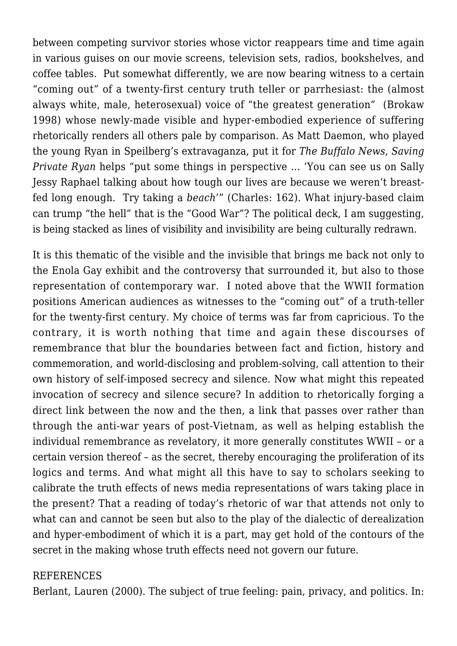between competing survivor stories whose victor reappears time and time again in various guises on our movie screens, television sets, radios, bookshelves, and coffee tables. Put somewhat differently, we are now bearing witness to a certain "coming out" of a twenty-first century truth teller or parrhesiast: the (almost always white, male, heterosexual) voice of "the greatest generation" (Brokaw 1998) whose newly-made visible and hyper-embodied experience of suffering rhetorically renders all others pale by comparison. As Matt Daemon, who played the young Ryan in Speilberg's extravaganza, put it for *The Buffalo News, Saving Private Ryan* helps "put some things in perspective … 'You can see us on Sally Jessy Raphael talking about how tough our lives are because we weren't breastfed long enough. Try taking a *beach*'" (Charles: 162). What injury-based claim can trump "the hell" that is the "Good War"? The political deck, I am suggesting, is being stacked as lines of visibility and invisibility are being culturally redrawn.

It is this thematic of the visible and the invisible that brings me back not only to the Enola Gay exhibit and the controversy that surrounded it, but also to those representation of contemporary war. I noted above that the WWII formation positions American audiences as witnesses to the "coming out" of a truth-teller for the twenty-first century. My choice of terms was far from capricious. To the contrary, it is worth nothing that time and again these discourses of remembrance that blur the boundaries between fact and fiction, history and commemoration, and world-disclosing and problem-solving, call attention to their own history of self-imposed secrecy and silence. Now what might this repeated invocation of secrecy and silence secure? In addition to rhetorically forging a direct link between the now and the then, a link that passes over rather than through the anti-war years of post-Vietnam, as well as helping establish the individual remembrance as revelatory, it more generally constitutes WWII – or a certain version thereof – as the secret, thereby encouraging the proliferation of its logics and terms. And what might all this have to say to scholars seeking to calibrate the truth effects of news media representations of wars taking place in the present? That a reading of today's rhetoric of war that attends not only to what can and cannot be seen but also to the play of the dialectic of derealization and hyper-embodiment of which it is a part, may get hold of the contours of the secret in the making whose truth effects need not govern our future.

## REFERENCES

Berlant, Lauren (2000). The subject of true feeling: pain, privacy, and politics. In: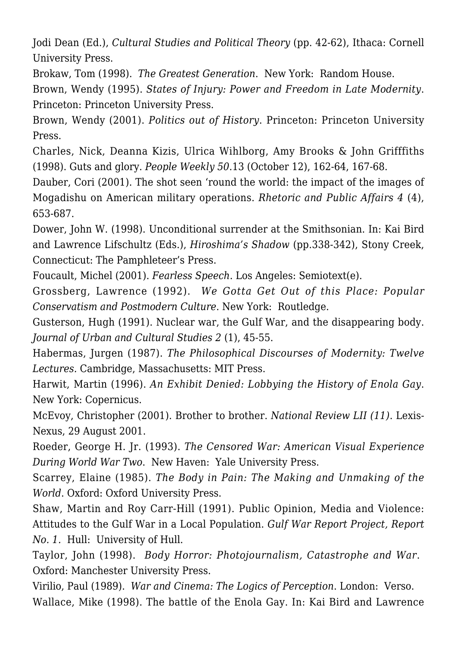Jodi Dean (Ed.), *Cultural Studies and Political Theory* (pp. 42-62), Ithaca: Cornell University Press.

Brokaw, Tom (1998). *The Greatest Generation*. New York: Random House.

Brown, Wendy (1995). *States of Injury: Power and Freedom in Late Modernity*. Princeton: Princeton University Press.

Brown, Wendy (2001). *Politics out of History*. Princeton: Princeton University Press.

Charles, Nick, Deanna Kizis, Ulrica Wihlborg, Amy Brooks & John Grifffiths (1998). Guts and glory. *People Weekly 50*.13 (October 12), 162-64, 167-68.

Dauber, Cori (2001). The shot seen 'round the world: the impact of the images of Mogadishu on American military operations. *Rhetoric and Public Affairs 4* (4), 653-687.

Dower, John W. (1998). Unconditional surrender at the Smithsonian. In: Kai Bird and Lawrence Lifschultz (Eds.), *Hiroshima's Shadow* (pp.338-342), Stony Creek, Connecticut: The Pamphleteer's Press.

Foucault, Michel (2001). *Fearless Speech*. Los Angeles: Semiotext(e).

Grossberg, Lawrence (1992). *We Gotta Get Out of this Place: Popular Conservatism and Postmodern Culture*. New York: Routledge.

Gusterson, Hugh (1991). Nuclear war, the Gulf War, and the disappearing body. *Journal of Urban and Cultural Studies 2* (1), 45-55.

Habermas, Jurgen (1987). *The Philosophical Discourses of Modernity: Twelve Lectures.* Cambridge, Massachusetts: MIT Press.

Harwit, Martin (1996). *An Exhibit Denied: Lobbying the History of Enola Gay*. New York: Copernicus.

McEvoy, Christopher (2001). Brother to brother. *National Review LII (11)*. Lexis-Nexus, 29 August 2001.

Roeder, George H. Jr. (1993). *The Censored War: American Visual Experience During World War Two*. New Haven: Yale University Press.

Scarrey, Elaine (1985). *The Body in Pain: The Making and Unmaking of the World*. Oxford: Oxford University Press.

Shaw, Martin and Roy Carr-Hill (1991). Public Opinion, Media and Violence: Attitudes to the Gulf War in a Local Population. *Gulf War Report Project, Report No. 1.* Hull: University of Hull.

Taylor, John (1998). *Body Horror: Photojournalism, Catastrophe and War*. Oxford: Manchester University Press.

Virilio, Paul (1989). *War and Cinema: The Logics of Perception*. London: Verso. Wallace, Mike (1998). The battle of the Enola Gay. In: Kai Bird and Lawrence